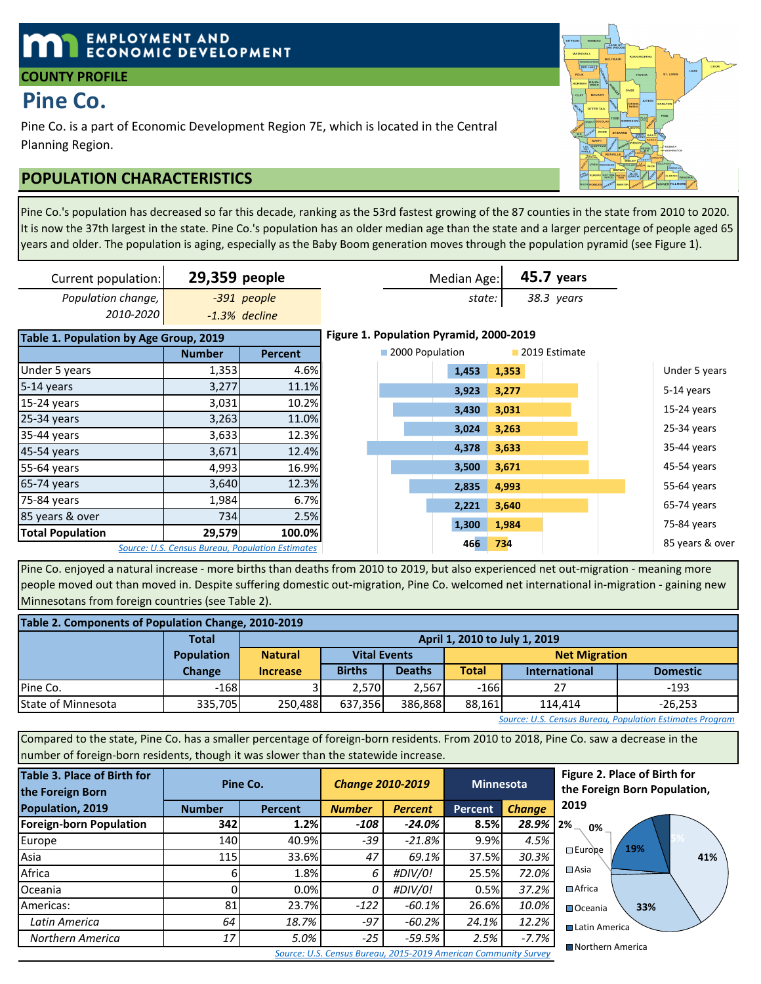# **EMPLOYMENT AND ECONOMIC DEVELOPMENT**

### **COUNTY PROFILE**

# **Pine Co.**

Pine Co. is a part of Economic Development Region 7E, which is located in the Central Planning Region.

# **POPULATION CHARACTERISTICS**

Pine Co.'s population has decreased so far this decade, ranking as the 53rd fastest growing of the 87 counties in the state from 2010 to 2020. It is now the 37th largest in the state. Pine Co.'s population has an older median age than the state and a larger percentage of people aged 65 years and older. The population is aging, especially as the Baby Boom generation moves through the population pyramid (see Figure 1).

| Current population:                    | 29,359 people                                    |                 |                 | Median Age:                             |       | <b>45.7 years</b> |                 |
|----------------------------------------|--------------------------------------------------|-----------------|-----------------|-----------------------------------------|-------|-------------------|-----------------|
| Population change,                     |                                                  | -391 people     |                 | state:                                  |       | 38.3 years        |                 |
| 2010-2020                              |                                                  | $-1.3%$ decline |                 |                                         |       |                   |                 |
| Table 1. Population by Age Group, 2019 |                                                  |                 |                 | Figure 1. Population Pyramid, 2000-2019 |       |                   |                 |
|                                        | <b>Number</b>                                    | <b>Percent</b>  | 2000 Population |                                         |       | 2019 Estimate     |                 |
| Under 5 years                          | 1,353                                            | 4.6%            |                 | 1,453                                   | 1,353 |                   | Under 5 years   |
| 5-14 years                             | 3,277                                            | 11.1%           |                 | 3,923                                   | 3,277 |                   | 5-14 years      |
| 15-24 years                            | 3,031                                            | 10.2%           |                 | 3,430                                   | 3,031 |                   | 15-24 years     |
| 25-34 years                            | 3,263                                            | 11.0%           |                 |                                         |       |                   |                 |
| 35-44 years                            | 3,633                                            | 12.3%           |                 | 3,024                                   | 3,263 |                   | 25-34 years     |
| 45-54 years                            | 3,671                                            | 12.4%           |                 | 4,378                                   | 3,633 |                   | 35-44 years     |
| 55-64 years                            | 4,993                                            | 16.9%           |                 | 3,500                                   | 3,671 |                   | 45-54 years     |
| 65-74 years                            | 3,640                                            | 12.3%           |                 | 2,835                                   | 4,993 |                   | 55-64 years     |
| 75-84 years                            | 1,984                                            | 6.7%            |                 | 2,221                                   | 3,640 |                   | 65-74 years     |
| 85 years & over                        | 734                                              | 2.5%            |                 |                                         |       |                   |                 |
| <b>Total Population</b>                | 29,579                                           | 100.0%          |                 | 1,300                                   | 1,984 |                   | 75-84 years     |
|                                        | Source: U.S. Census Bureau, Population Estimates |                 |                 | 466                                     | 734   |                   | 85 years & over |

Pine Co. enjoyed a natural increase - more births than deaths from 2010 to 2019, but also experienced net out-migration - meaning more people moved out than moved in. Despite suffering domestic out-migration, Pine Co. welcomed net international in-migration - gaining new Minnesotans from foreign countries (see Table 2).

| Table 2. Components of Population Change, 2010-2019 |                   |                |                                                      |               |                               |                      |                 |  |  |  |  |
|-----------------------------------------------------|-------------------|----------------|------------------------------------------------------|---------------|-------------------------------|----------------------|-----------------|--|--|--|--|
|                                                     | <b>Total</b>      |                |                                                      |               | April 1, 2010 to July 1, 2019 |                      |                 |  |  |  |  |
|                                                     | <b>Population</b> | <b>Natural</b> | <b>Vital Events</b>                                  |               | <b>Net Migration</b>          |                      |                 |  |  |  |  |
|                                                     | Change            | Increase       | <b>Births</b>                                        | <b>Deaths</b> | Total                         | <b>International</b> | <b>Domestic</b> |  |  |  |  |
| Pine Co.                                            | $-168$            |                | 2.570                                                | 2.567         | $-166$                        | 27                   | $-193$          |  |  |  |  |
| <b>State of Minnesota</b>                           | 335.705           | 250.488        | 386.868<br>88.161<br>637.356<br>$-26.253$<br>114.414 |               |                               |                      |                 |  |  |  |  |

*Source: U.S. Census Bureau, Population Estimates Program*

Compared to the state, Pine Co. has a smaller percentage of foreign-born residents. From 2010 to 2018, Pine Co. saw a decrease in the number of foreign-born residents, though it was slower than the statewide increase.

| Table 3. Place of Birth for<br>the Foreign Born | Pine Co.      |                | <b>Change 2010-2019</b> |                | <b>Minnesota</b> |               | Figure 2. Place of Birth for<br>the Foreign Born Population, |
|-------------------------------------------------|---------------|----------------|-------------------------|----------------|------------------|---------------|--------------------------------------------------------------|
| Population, 2019                                | <b>Number</b> | <b>Percent</b> | <b>Number</b>           | <b>Percent</b> | <b>Percent</b>   | <b>Change</b> | 2019                                                         |
| <b>Foreign-born Population</b>                  | 342           | 1.2%           | -108                    | $-24.0\%$      | 8.5%             | 28.9%         | 2%<br>0%                                                     |
| Europe                                          | 140           | 40.9%          | $-39$                   | $-21.8%$       | 9.9%             | 4.5%          | 19%                                                          |
| Asia                                            | <b>115</b>    | 33.6%          | 47                      | 69.1%          | 37.5%            | 30.3%         | $\square$ Europe<br>41                                       |
| Africa                                          |               | 1.8%           | 6                       | #DIV/0!        | 25.5%            | 72.0%         | $\square$ Asia                                               |
| Oceania                                         |               | 0.0%           | 0                       | #DIV/0!        | 0.5%             | 37.2%         | $\Box$ Africa                                                |
| Americas:                                       | 81            | 23.7%          | $-122$                  | $-60.1\%$      | 26.6%            | 10.0%         | 33%<br><b>□</b> Oceania                                      |
| Latin America                                   | 64            | 18.7%          | -97                     | $-60.2\%$      | 24.1%            | 12.2%         | <b>■ Latin America</b>                                       |
| Northern America                                | 17            | 5.0%           | $-25$                   | $-59.5%$       | 2.5%             | $-7.7%$       | ■ Northern America                                           |

**41% 33% 2% 0% 19% 2019** ⊟ Europe  $\Box$ Asia ■ Africa ■Oceania ■Latin America ■Northern America

*Source: U.S. Census Bureau, 2015-2019 American Community Survey*

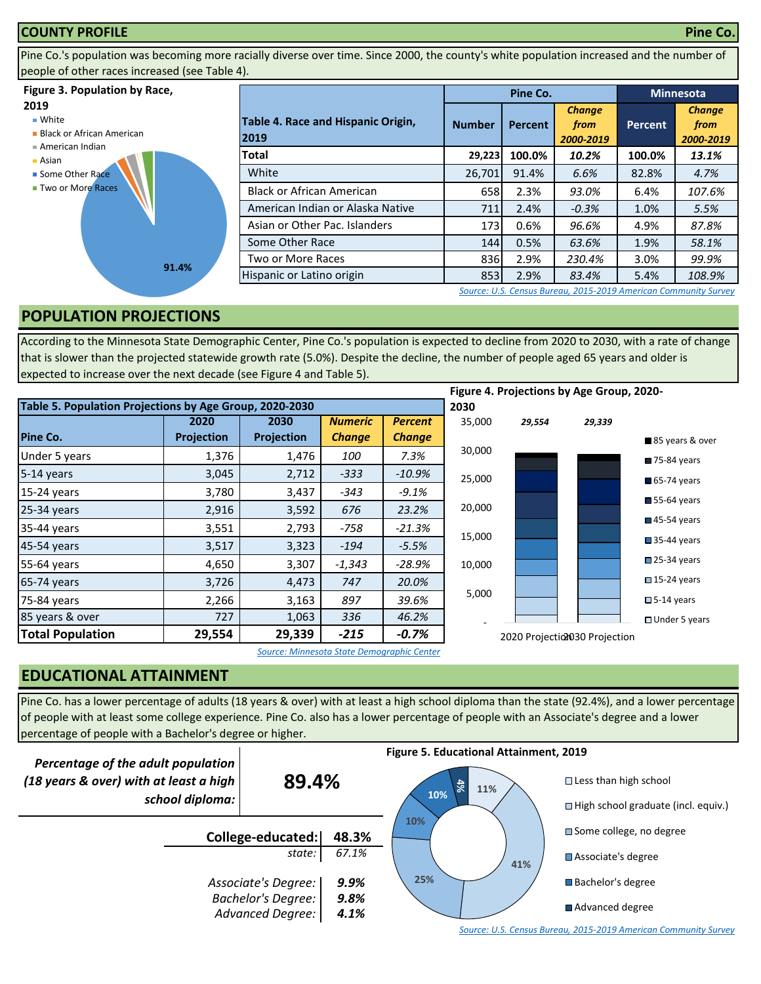#### **COUNTY PROFILE Pine Co.**

Pine Co.'s population was becoming more racially diverse over time. Since 2000, the county's white population increased and the number of people of other races increased (see Table 4).

#### **Figure 3. Population by Race,**

### **2019**

■ White

**Black or African American** 



Asian ■ Some Other Race **Two or More Races** 



|                                            |               | Pine Co. | <b>Minnesota</b>                   |         |                                    |
|--------------------------------------------|---------------|----------|------------------------------------|---------|------------------------------------|
| Table 4. Race and Hispanic Origin,<br>2019 | <b>Number</b> | Percent  | <b>Change</b><br>from<br>2000-2019 | Percent | <b>Change</b><br>from<br>2000-2019 |
| Total                                      | 29,223        | 100.0%   | 10.2%                              | 100.0%  | 13.1%                              |
| White                                      | 26,701        | 91.4%    | 6.6%                               | 82.8%   | 4.7%                               |
| <b>Black or African American</b>           | 658           | 2.3%     | 93.0%                              | 6.4%    | 107.6%                             |
| American Indian or Alaska Native           | 711           | 2.4%     | $-0.3%$                            | 1.0%    | 5.5%                               |
| Asian or Other Pac. Islanders              | <b>173</b>    | 0.6%     | 96.6%                              | 4.9%    | 87.8%                              |
| Some Other Race                            | 144           | 0.5%     | 63.6%                              | 1.9%    | 58.1%                              |
| Two or More Races                          | 836           | 2.9%     | 230.4%                             | 3.0%    | 99.9%                              |
| Hispanic or Latino origin                  | 853           | 2.9%     | 83.4%                              | 5.4%    | 108.9%                             |

*[S](http://factfinder.census.gov/faces/nav/jsf/pages/searchresults.xhtml?refresh=t)ource: U.S. Census Bureau, 2015-2019 American Community Survey*

# **POPULATION PROJECTIONS**

According to the Minnesota State Demographic Center, Pine Co.'s population is expected to decline from 2020 to 2030, with a rate of change that is slower than the projected statewide growth rate (5.0%). Despite the decline, the number of people aged 65 years and older is expected to increase over the next decade (see Figure 4 and Table 5).

|                                                         |            |            |                |                |        |        | Figure 4. Projections by Age Group, 2020- |                            |
|---------------------------------------------------------|------------|------------|----------------|----------------|--------|--------|-------------------------------------------|----------------------------|
| Table 5. Population Projections by Age Group, 2020-2030 |            |            |                |                | 2030   |        |                                           |                            |
|                                                         | 2020       | 2030       | <b>Numeric</b> | <b>Percent</b> | 35,000 | 29,554 | 29,339                                    |                            |
| Pine Co.                                                | Projection | Projection | <b>Change</b>  | <b>Change</b>  |        |        |                                           | 85 years & over            |
| Under 5 years                                           | 1,376      | 1,476      | 100            | 7.3%           | 30,000 |        |                                           | 75-84 years                |
| 5-14 years                                              | 3,045      | 2,712      | $-333$         | $-10.9\%$      | 25,000 |        |                                           | 65-74 years                |
| 15-24 years                                             | 3,780      | 3,437      | $-343$         | $-9.1%$        |        |        |                                           |                            |
| 25-34 years                                             | 2,916      | 3,592      | 676            | 23.2%          | 20,000 |        |                                           | $55-64$ years              |
| 35-44 years                                             | 3,551      | 2,793      | $-758$         | $-21.3%$       |        |        |                                           | $\blacksquare$ 45-54 years |
| 45-54 years                                             | 3,517      | 3,323      | $-194$         | $-5.5%$        | 15,000 |        |                                           | $\blacksquare$ 35-44 years |
| 55-64 years                                             | 4,650      | 3,307      | $-1,343$       | -28.9%         | 10,000 |        |                                           | 25-34 years                |
| 65-74 years                                             | 3,726      | 4,473      | 747            | 20.0%          |        |        |                                           | $\square$ 15-24 years      |
| 75-84 years                                             | 2,266      | 3,163      | 897            | 39.6%          | 5,000  |        |                                           | $\square$ 5-14 years       |
| 85 years & over                                         | 727        | 1,063      | 336            | 46.2%          |        |        |                                           | $\Box$ Under 5 years       |
| <b>Total Population</b>                                 | 29,554     | 29,339     | $-215$         | $-0.7%$        |        |        | 2020 Projectio1030 Projection             |                            |

*Source: Minnesota State Demographic Center*

# **EDUCATIONAL ATTAINMENT**

Pine Co. has a lower percentage of adults (18 years & over) with at least a high school diploma than the state (92.4%), and a lower percentage of people with at least some college experience. Pine Co. also has a lower percentage of people with an Associate's degree and a lower percentage of people with a Bachelor's degree or higher.

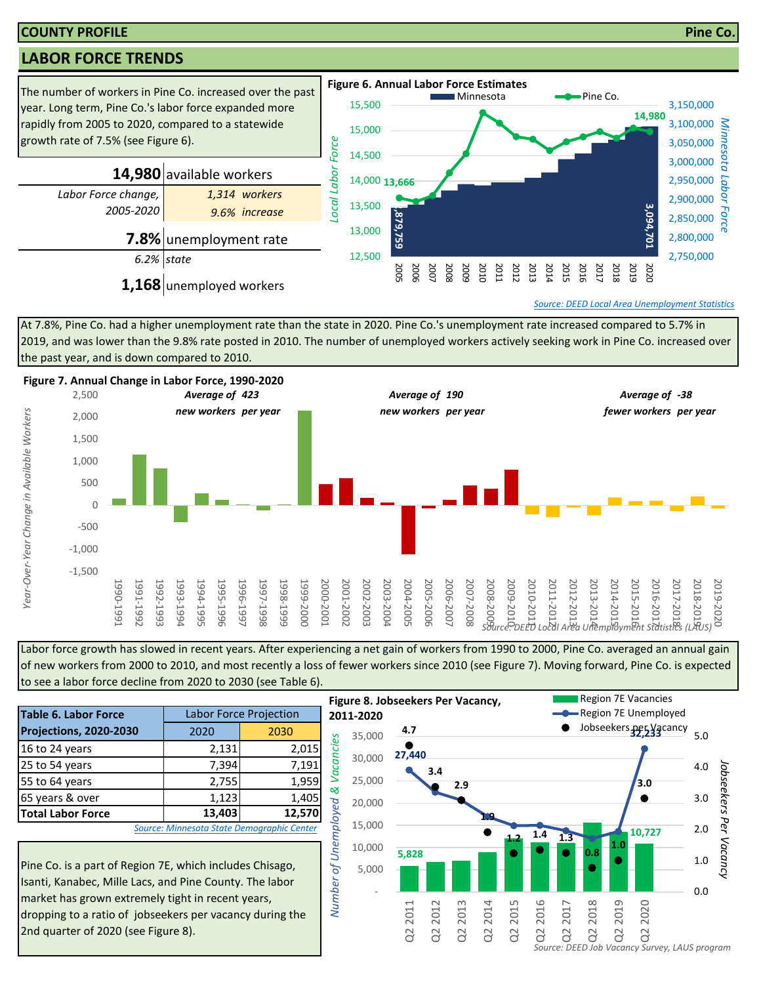### **COUNTY PROFILE Pine Co.**

# **LABOR FORCE TRENDS**



*[S](https://apps.deed.state.mn.us/lmi/laus/Default.aspx)ource: DEED Local Area Unemployment Statistics*

At 7.8%, Pine Co. had a higher unemployment rate than the state in 2020. Pine Co.'s unemployment rate increased compared to 5.7% in 2019, and was lower than the 9.8% rate posted in 2010. The number of unemployed workers actively seeking work in Pine Co. increased over the past year, and is down compared to 2010.



Labor force growth has slowed in recent years. After experiencing a net gain of workers from 1990 to 2000, Pine Co. averaged an annual gain of new workers from 2000 to 2010, and most recently a loss of fewer workers since 2010 (see Figure 7). Moving forward, Pine Co. is expected to see a labor force decline from 2020 to 2030 (see Table 6).

|                                                                                                                                                                                                                                                 |                               |                                            | . . 5         |  |  |  |  |  |  |
|-------------------------------------------------------------------------------------------------------------------------------------------------------------------------------------------------------------------------------------------------|-------------------------------|--------------------------------------------|---------------|--|--|--|--|--|--|
| <b>Table 6. Labor Force</b>                                                                                                                                                                                                                     | <b>Labor Force Projection</b> |                                            |               |  |  |  |  |  |  |
| Projections, 2020-2030                                                                                                                                                                                                                          | 2020                          | 2030                                       |               |  |  |  |  |  |  |
| 16 to 24 years                                                                                                                                                                                                                                  | 2,131                         | 2,015                                      | Vacancies     |  |  |  |  |  |  |
| 25 to 54 years                                                                                                                                                                                                                                  | 7,394                         | 7,191                                      |               |  |  |  |  |  |  |
| 55 to 64 years                                                                                                                                                                                                                                  | 2,755                         | 1,959                                      | ళ             |  |  |  |  |  |  |
| 65 years & over                                                                                                                                                                                                                                 | 1,123                         | 1,405                                      |               |  |  |  |  |  |  |
| <b>Total Labor Force</b>                                                                                                                                                                                                                        | 13,403                        | 12,570                                     |               |  |  |  |  |  |  |
|                                                                                                                                                                                                                                                 |                               | Source: Minnesota State Demographic Center | of Unemployed |  |  |  |  |  |  |
| Pine Co. is a part of Region 7E, which includes Chisago,<br>Number<br>Isanti, Kanabec, Mille Lacs, and Pine County. The labor<br>market has grown extremely tight in recent years,<br>ldronning to a ratio of jobseekers ner vacancy during the |                               |                                            |               |  |  |  |  |  |  |

Pine Co. is a part of Region 7E, which includes Chisago, Isanti, Kanabec, Mille Lacs, and Pine County. The labor market has grown extremely tight in recent years, dropping to a ratio of jobseekers per vacancy during the 2nd quarter of 2020 (see Figure 8).

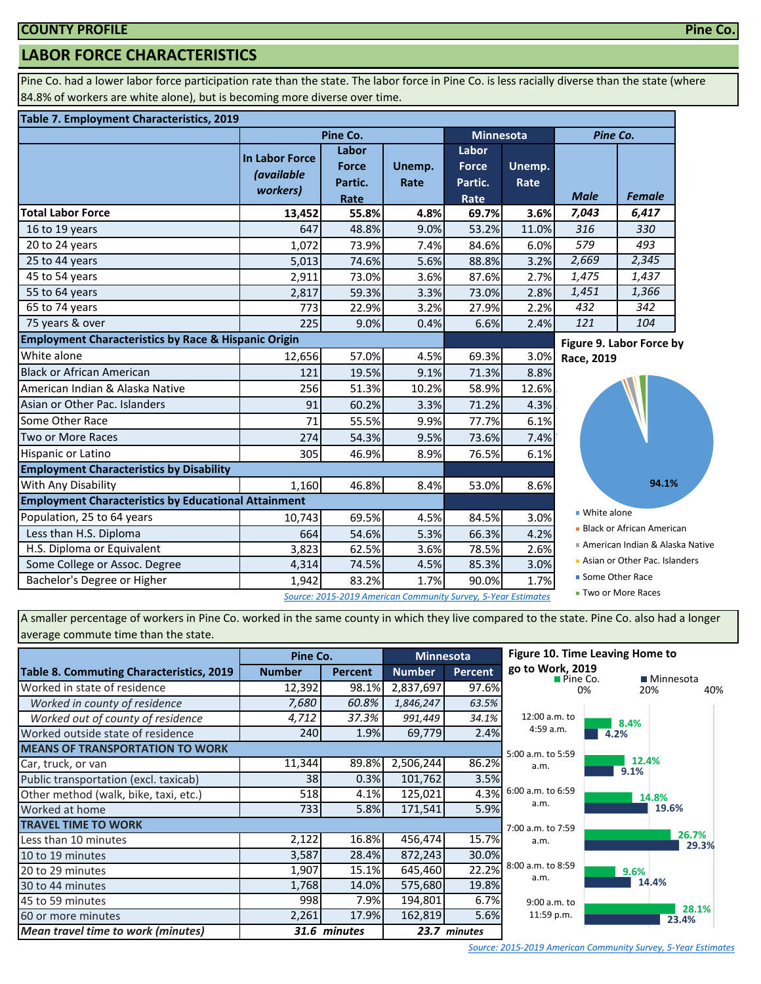# **LABOR FORCE CHARACTERISTICS**

Pine Co. had a lower labor force participation rate than the state. The labor force in Pine Co. is less racially diverse than the state (where 84.8% of workers are white alone), but is becoming more diverse over time.

#### **Table 7. Employment Characteristics, 2019**

|                                                                 |                                                 | Pine Co.                                                      |                | <b>Minnesota</b>                 |                | Pine Co.                 |                                  |  |
|-----------------------------------------------------------------|-------------------------------------------------|---------------------------------------------------------------|----------------|----------------------------------|----------------|--------------------------|----------------------------------|--|
|                                                                 | In Labor Force<br><i>(available</i><br>workers) | Labor<br><b>Force</b><br>Partic.                              | Unemp.<br>Rate | Labor<br><b>Force</b><br>Partic. | Unemp.<br>Rate |                          |                                  |  |
|                                                                 |                                                 | Rate                                                          |                | Rate                             |                | <b>Male</b>              | <b>Female</b>                    |  |
| <b>Total Labor Force</b>                                        | 13,452                                          | 55.8%                                                         | 4.8%           | 69.7%                            | 3.6%           | 7,043                    | 6,417                            |  |
| 16 to 19 years                                                  | 647                                             | 48.8%                                                         | 9.0%           | 53.2%                            | 11.0%          | 316                      | 330                              |  |
| 20 to 24 years                                                  | 1,072                                           | 73.9%                                                         | 7.4%           | 84.6%                            | 6.0%           | 579                      | 493                              |  |
| 25 to 44 years                                                  | 5,013                                           | 74.6%                                                         | 5.6%           | 88.8%                            | 3.2%           | 2,669                    | 2,345                            |  |
| 45 to 54 years                                                  | 2,911                                           | 73.0%                                                         | 3.6%           | 87.6%                            | 2.7%           | 1,475                    | 1,437                            |  |
| 55 to 64 years                                                  | 2,817                                           | 59.3%                                                         | 3.3%           | 73.0%                            | 2.8%           | 1,451                    | 1,366                            |  |
| 65 to 74 years                                                  | 773                                             | 22.9%                                                         | 3.2%           | 27.9%                            | 2.2%           | 432                      | 342                              |  |
| 75 years & over                                                 | 225                                             | 9.0%                                                          | 0.4%           | 6.6%                             | 2.4%           | 121                      | 104                              |  |
| <b>Employment Characteristics by Race &amp; Hispanic Origin</b> |                                                 |                                                               |                |                                  |                | Figure 9. Labor Force by |                                  |  |
| White alone                                                     | 12,656                                          | 57.0%                                                         | 4.5%           | 69.3%                            | 3.0%           | Race, 2019               |                                  |  |
| <b>Black or African American</b>                                | 121                                             | 19.5%                                                         | 9.1%           | 71.3%                            | 8.8%           |                          |                                  |  |
| American Indian & Alaska Native                                 | 256                                             | 51.3%                                                         | 10.2%          | 58.9%                            | 12.6%          |                          |                                  |  |
| Asian or Other Pac. Islanders                                   | 91                                              | 60.2%                                                         | 3.3%           | 71.2%                            | 4.3%           |                          |                                  |  |
| Some Other Race                                                 | 71                                              | 55.5%                                                         | 9.9%           | 77.7%                            | 6.1%           |                          |                                  |  |
| Two or More Races                                               | 274                                             | 54.3%                                                         | 9.5%           | 73.6%                            | 7.4%           |                          |                                  |  |
| Hispanic or Latino                                              | 305                                             | 46.9%                                                         | 8.9%           | 76.5%                            | 6.1%           |                          |                                  |  |
| <b>Employment Characteristics by Disability</b>                 |                                                 |                                                               |                |                                  |                |                          |                                  |  |
| <b>With Any Disability</b>                                      | 1,160                                           | 46.8%                                                         | 8.4%           | 53.0%                            | 8.6%           |                          | 94.1%                            |  |
| <b>Employment Characteristics by Educational Attainment</b>     |                                                 |                                                               |                |                                  |                |                          |                                  |  |
| Population, 25 to 64 years                                      | 10,743                                          | 69.5%                                                         | 4.5%           | 84.5%                            | 3.0%           | ■ White alone            |                                  |  |
| Less than H.S. Diploma                                          | 664                                             | 54.6%                                                         | 5.3%           | 66.3%                            | 4.2%           |                          | <b>Black or African American</b> |  |
| H.S. Diploma or Equivalent                                      | 3,823                                           | 62.5%                                                         | 3.6%           | 78.5%                            | 2.6%           |                          | American Indian & Alaska Native  |  |
| Some College or Assoc. Degree                                   | 4,314                                           | 74.5%                                                         | 4.5%           | 85.3%                            | 3.0%           |                          | Asian or Other Pac. Islanders    |  |
| Bachelor's Degree or Higher                                     | 1,942                                           | 83.2%                                                         | 1.7%           | 90.0%                            | 1.7%           | ■ Some Other Race        |                                  |  |
|                                                                 |                                                 | Source: 2015-2019 American Community Survey, 5-Year Estimates |                |                                  |                |                          | ■ Two or More Races              |  |

A smaller percentage of workers in Pine Co. worked in the same county in which they live compared to the state. Pine Co. also had a longer average commute time than the state.

|                                                 | Pine Co.      |                |               | <b>Minnesota</b> | Figure 10. Time Leaving Home to             |      |                |    |
|-------------------------------------------------|---------------|----------------|---------------|------------------|---------------------------------------------|------|----------------|----|
| <b>Table 8. Commuting Characteristics, 2019</b> | <b>Number</b> | <b>Percent</b> | <b>Number</b> | <b>Percent</b>   | go to Work, 2019<br>$\blacksquare$ Pine Co. |      | ■ Minnesota    |    |
| Worked in state of residence                    | 12,392        | 98.1%          | 2,837,697     | 97.6%            |                                             | 0%   | 20%            | 40 |
| Worked in county of residence                   | 7,680         | 60.8%          | 1,846,247     | 63.5%            |                                             |      |                |    |
| Worked out of county of residence               | 4,712         | 37.3%          | 991,449       | 34.1%            | 12:00 a.m. to                               | 8.4% |                |    |
| Worked outside state of residence               | 240           | 1.9%           | 69,779        | 2.4%             | 4:59 a.m.                                   | 4.2% |                |    |
| <b>MEANS OF TRANSPORTATION TO WORK</b>          |               |                |               |                  | 5:00 a.m. to 5:59                           |      |                |    |
| Car, truck, or van                              | 11,344        | 89.8%          | 2,506,244     | 86.2%            | a.m.                                        | 9.1% | 12.4%          |    |
| Public transportation (excl. taxicab)           | 38            | 0.3%           | 101,762       | 3.5%             |                                             |      |                |    |
| Other method (walk, bike, taxi, etc.)           | 518           | 4.1%           | 125,021       | 4.3%             | 6:00 a.m. to 6:59                           |      | 14.8%          |    |
| Worked at home                                  | <b>7331</b>   | 5.8%           | 171,541       | 5.9%             | a.m.                                        |      | 19.6%          |    |
| <b>TRAVEL TIME TO WORK</b>                      |               |                |               |                  | 7:00 a.m. to 7:59                           |      |                |    |
| Less than 10 minutes                            | 2,122         | 16.8%          | 456,474       | 15.7%            | a.m.                                        |      | 26.7%<br>29.3% |    |
| 10 to 19 minutes                                | 3,587         | 28.4%          | 872,243       | 30.0%            |                                             |      |                |    |
| 20 to 29 minutes                                | 1,907         | 15.1%          | 645,460       | 22.2%            | 8:00 a.m. to 8:59<br>a.m.                   | 9.6% |                |    |
| 30 to 44 minutes                                | 1,768         | 14.0%          | 575,680       | 19.8%            |                                             |      | 14.4%          |    |
| 45 to 59 minutes                                | 998           | 7.9%           | 194,801       | 6.7%             | 9:00 a.m. to                                |      |                |    |
| 60 or more minutes                              | 2,261         | 17.9%          | 162,819       | 5.6%             | 11:59 p.m.                                  |      | 28.1%<br>23.4% |    |
| <b>Mean travel time to work (minutes)</b>       |               | 31.6 minutes   |               | 23.7 minutes     |                                             |      |                |    |

40%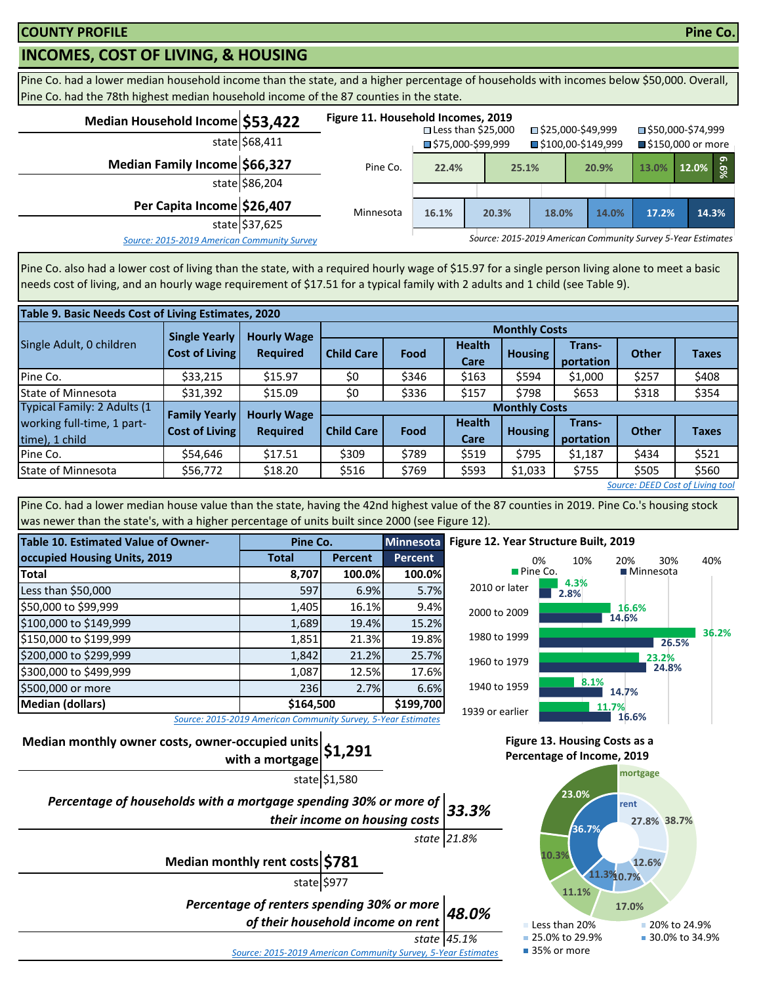# **INCOMES, COST OF LIVING, & HOUSING**

Pine Co. had a lower median household income than the state, and a higher percentage of households with incomes below \$50,000. Overall, Pine Co. had the 78th highest median household income of the 87 counties in the state.

| Median Household Income \$53,422            |                | Figure 11. Household Incomes, 2019 | $\square$ Less than \$25,000     |  |                                                              |                     | □ \$25,000-\$49,999 |                     | ■\$50,000-\$74,999 |                        |       |  |
|---------------------------------------------|----------------|------------------------------------|----------------------------------|--|--------------------------------------------------------------|---------------------|---------------------|---------------------|--------------------|------------------------|-------|--|
|                                             | state \$68,411 |                                    | $\blacksquare$ \$75,000-\$99,999 |  |                                                              | ■\$100,00-\$149,999 |                     | ■ \$150,000 or more |                    |                        |       |  |
| Median Family Income \$66,327               |                | Pine Co.                           | 22.4%                            |  | 25.1%                                                        |                     | 20.9%               |                     | 13.0%              | $12.0\%$ $\frac{5}{8}$ |       |  |
|                                             | state \$86,204 |                                    |                                  |  |                                                              |                     |                     |                     |                    |                        |       |  |
| Per Capita Income \$26,407                  |                | Minnesota                          | 16.1%                            |  | 20.3%                                                        | 18.0%               |                     | 14.0%               | 17.2%              |                        | 14.3% |  |
|                                             | state \$37,625 |                                    |                                  |  |                                                              |                     |                     |                     |                    |                        |       |  |
| Source: 2015-2019 American Community Survey |                |                                    |                                  |  | Source: 2015-2019 American Community Survey 5-Year Estimates |                     |                     |                     |                    |                        |       |  |

Pine Co. also had a lower cost of living than the state, with a required hourly wage of \$15.97 for a single person living alone to meet a basic needs cost of living, and an hourly wage requirement of \$17.51 for a typical family with 2 adults and 1 child (see Table 9).

| Table 9. Basic Needs Cost of Living Estimates, 2020 |                       |                    |                      |                      |                       |                         |                     |              |              |  |  |  |
|-----------------------------------------------------|-----------------------|--------------------|----------------------|----------------------|-----------------------|-------------------------|---------------------|--------------|--------------|--|--|--|
|                                                     | <b>Single Yearly</b>  | <b>Hourly Wage</b> |                      | <b>Monthly Costs</b> |                       |                         |                     |              |              |  |  |  |
| Single Adult, 0 children                            | <b>Cost of Living</b> | <b>Required</b>    | <b>Child Care</b>    | Food                 | <b>Health</b><br>Care | <b>Housing</b> <i>I</i> | Trans-<br>portation | <b>Other</b> | <b>Taxes</b> |  |  |  |
| Pine Co.                                            | \$33,215              | \$15.97            | \$0                  | \$346                | \$163                 | \$594                   | \$1,000             | \$257        | \$408        |  |  |  |
| <b>State of Minnesota</b>                           | \$31,392              | \$15.09            | \$0                  | \$336                | \$157                 | \$798                   | \$653               | \$318        | \$354        |  |  |  |
| Typical Family: 2 Adults (1                         | <b>Family Yearly</b>  | <b>Hourly Wage</b> | <b>Monthly Costs</b> |                      |                       |                         |                     |              |              |  |  |  |
| working full-time, 1 part-                          | <b>Cost of Living</b> |                    | <b>Child Care</b>    | Food                 | <b>Health</b>         | <b>Housing</b>          | Trans-              | <b>Other</b> | <b>Taxes</b> |  |  |  |
| time), 1 child                                      |                       | <b>Required</b>    |                      |                      | Care                  |                         | portation           |              |              |  |  |  |
| Pine Co.                                            | \$54,646              | \$17.51            | \$309                | \$789                | \$519                 | \$795                   | \$1,187             | \$434        | \$521        |  |  |  |
| State of Minnesota                                  | \$56,772              | \$18.20            | \$516                | \$769                | \$593                 | \$1,033                 | \$755               | \$505        | \$560        |  |  |  |
| Source: DEED Cost of Living tool                    |                       |                    |                      |                      |                       |                         |                     |              |              |  |  |  |

Pine Co. had a lower median house value than the state, having the 42nd highest value of the 87 counties in 2019. Pine Co.'s housing stock was newer than the state's, with a higher percentage of units built since 2000 (see Figure 12).

| <b>Table 10. Estimated Value of Owner-</b> | Pine Co.                                                      |                | <b>Minnesota</b> |
|--------------------------------------------|---------------------------------------------------------------|----------------|------------------|
| occupied Housing Units, 2019               | <b>Total</b>                                                  | <b>Percent</b> | Percent          |
| <b>Total</b>                               | 8,707                                                         | 100.0%         | 100.0%           |
| Less than \$50,000                         | 597                                                           | 6.9%           | 5.7%             |
| \$50,000 to \$99,999                       | 1,405                                                         | 16.1%          | 9.4%             |
| \$100,000 to \$149,999                     | 1,689                                                         | 19.4%          | 15.2%            |
| \$150,000 to \$199,999                     | 1,851                                                         | 21.3%          | 19.8%            |
| \$200,000 to \$299,999                     | 1,842                                                         | 21.2%          | 25.7%            |
| \$300,000 to \$499,999                     | 1,087                                                         | 12.5%          | 17.6%            |
| \$500,000 or more                          | 236                                                           | 2.7%           | 6.6%             |
| <b>Median (dollars)</b>                    | \$164,500                                                     |                | \$199,700        |
|                                            | Source: 2015-2019 American Community Survey, 5-Year Estimates |                |                  |



*Source: 2015-2019 American Community Survey, 5-Year Estimates*

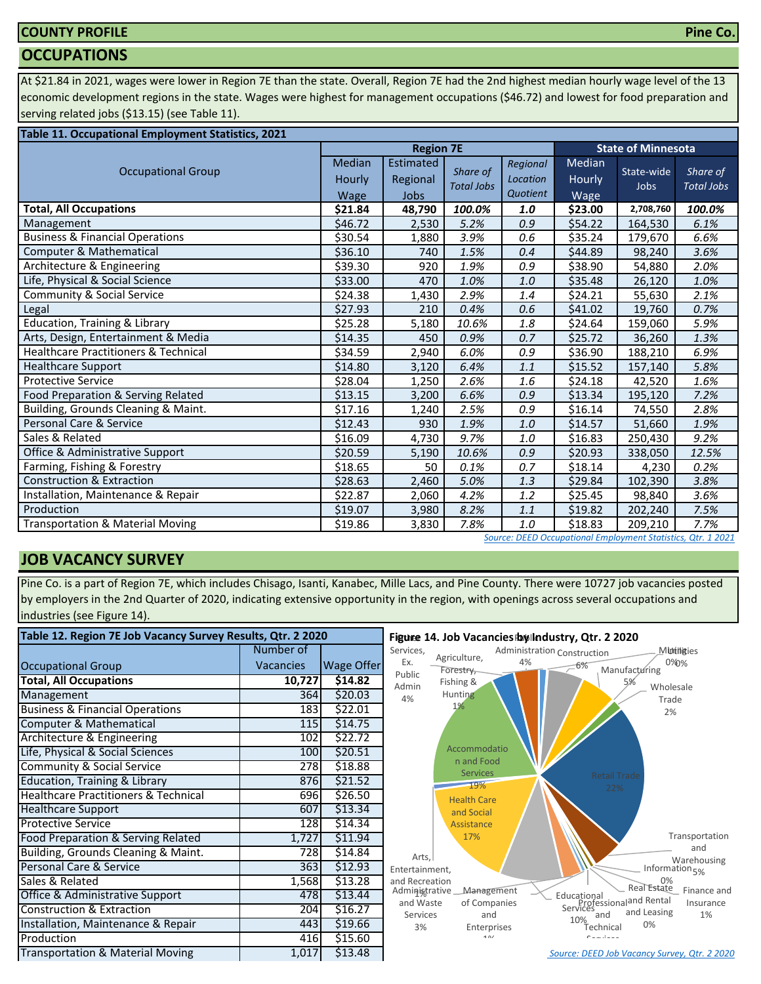# **COUNTY PROFILE**

### **OCCUPATIONS**

At \$21.84 in 2021, wages were lower in Region 7E than the state. Overall, Region 7E had the 2nd highest median hourly wage level of the 13 economic development regions in the state. Wages were highest for management occupations (\$46.72) and lowest for food preparation and serving related jobs (\$13.15) (see Table 11).

| Table 11. Occupational Employment Statistics, 2021 |                          |                                      |                               |                                  |                          |                           |                               |  |  |  |
|----------------------------------------------------|--------------------------|--------------------------------------|-------------------------------|----------------------------------|--------------------------|---------------------------|-------------------------------|--|--|--|
|                                                    |                          | <b>Region 7E</b>                     |                               |                                  |                          | <b>State of Minnesota</b> |                               |  |  |  |
| <b>Occupational Group</b>                          | Median<br>Hourly<br>Wage | Estimated<br>Regional<br><b>Jobs</b> | Share of<br><b>Total Jobs</b> | Regional<br>Location<br>Quotient | Median<br>Hourly<br>Wage | State-wide<br>Jobs        | Share of<br><b>Total Jobs</b> |  |  |  |
| <b>Total, All Occupations</b>                      | \$21.84                  | 48,790                               | 100.0%                        | 1.0                              | \$23.00                  | 2,708,760                 | 100.0%                        |  |  |  |
| Management                                         | \$46.72                  | 2,530                                | 5.2%                          | 0.9                              | \$54.22                  | 164,530                   | 6.1%                          |  |  |  |
| <b>Business &amp; Financial Operations</b>         | \$30.54                  | 1,880                                | 3.9%                          | 0.6                              | \$35.24                  | 179,670                   | 6.6%                          |  |  |  |
| Computer & Mathematical                            | \$36.10                  | 740                                  | 1.5%                          | 0.4                              | \$44.89                  | 98,240                    | 3.6%                          |  |  |  |
| Architecture & Engineering                         | \$39.30                  | 920                                  | 1.9%                          | 0.9                              | \$38.90                  | 54,880                    | 2.0%                          |  |  |  |
| Life, Physical & Social Science                    | \$33.00                  | 470                                  | 1.0%                          | 1.0                              | \$35.48                  | 26,120                    | 1.0%                          |  |  |  |
| Community & Social Service                         | \$24.38                  | 1,430                                | 2.9%                          | 1.4                              | \$24.21                  | 55,630                    | 2.1%                          |  |  |  |
| Legal                                              | \$27.93                  | 210                                  | 0.4%                          | 0.6                              | \$41.02                  | 19,760                    | 0.7%                          |  |  |  |
| <b>Education, Training &amp; Library</b>           | \$25.28                  | 5,180                                | 10.6%                         | 1.8                              | \$24.64                  | 159,060                   | 5.9%                          |  |  |  |
| Arts, Design, Entertainment & Media                | \$14.35                  | 450                                  | 0.9%                          | 0.7                              | \$25.72                  | 36,260                    | 1.3%                          |  |  |  |
| <b>Healthcare Practitioners &amp; Technical</b>    | \$34.59                  | 2,940                                | 6.0%                          | 0.9                              | \$36.90                  | 188,210                   | 6.9%                          |  |  |  |
| <b>Healthcare Support</b>                          | \$14.80                  | 3,120                                | 6.4%                          | 1.1                              | \$15.52                  | 157,140                   | 5.8%                          |  |  |  |
| <b>Protective Service</b>                          | \$28.04                  | 1,250                                | 2.6%                          | 1.6                              | \$24.18                  | 42,520                    | 1.6%                          |  |  |  |
| Food Preparation & Serving Related                 | \$13.15                  | 3,200                                | 6.6%                          | 0.9                              | \$13.34                  | 195,120                   | 7.2%                          |  |  |  |
| Building, Grounds Cleaning & Maint.                | \$17.16                  | 1,240                                | 2.5%                          | 0.9                              | \$16.14                  | 74,550                    | 2.8%                          |  |  |  |
| Personal Care & Service                            | \$12.43                  | 930                                  | 1.9%                          | 1.0                              | \$14.57                  | 51,660                    | 1.9%                          |  |  |  |
| Sales & Related                                    | \$16.09                  | 4,730                                | 9.7%                          | 1.0                              | \$16.83                  | 250,430                   | 9.2%                          |  |  |  |
| Office & Administrative Support                    | \$20.59                  | 5,190                                | 10.6%                         | 0.9                              | \$20.93                  | 338,050                   | 12.5%                         |  |  |  |
| Farming, Fishing & Forestry                        | \$18.65                  | 50                                   | 0.1%                          | 0.7                              | \$18.14                  | 4,230                     | 0.2%                          |  |  |  |
| <b>Construction &amp; Extraction</b>               | \$28.63                  | 2,460                                | 5.0%                          | 1.3                              | \$29.84                  | 102,390                   | 3.8%                          |  |  |  |
| Installation, Maintenance & Repair                 | \$22.87                  | 2,060                                | 4.2%                          | 1.2                              | \$25.45                  | 98,840                    | 3.6%                          |  |  |  |
| Production                                         | \$19.07                  | 3,980                                | 8.2%                          | 1.1                              | \$19.82                  | 202,240                   | 7.5%                          |  |  |  |
| <b>Transportation &amp; Material Moving</b>        | \$19.86                  | 3,830                                | 7.8%                          | 1.0                              | \$18.83                  | 209,210                   | 7.7%                          |  |  |  |

#### *[S](http://www.mn.gov/deed/data/data-tools/oes/)ource: DEED Occupational Employment Statistics, Qtr. 1 2021*

# **JOB VACANCY SURVEY**

Pine Co. is a part of Region 7E, which includes Chisago, Isanti, Kanabec, Mille Lacs, and Pine County. There were 10727 job vacancies posted by employers in the 2nd Quarter of 2020, indicating extensive opportunity in the region, with openings across several occupations and industries (see Figure 14).

| Table 12. Region 7E Job Vacancy Survey Results, Qtr. 2 2020 |                  |            | Figure 14. Job Vacancies by Industry, Qtr. 2 2020                                                                                           |  |  |  |  |  |
|-------------------------------------------------------------|------------------|------------|---------------------------------------------------------------------------------------------------------------------------------------------|--|--|--|--|--|
|                                                             | Number of        |            | Services,<br>Administration Construction<br>Minthitties<br>Agriculture,                                                                     |  |  |  |  |  |
| <b>Occupational Group</b>                                   | <b>Vacancies</b> | Wage Offer | 0%0%<br>Ex.<br>4%<br>$-6%$<br>Manufacturing<br>Forestry,                                                                                    |  |  |  |  |  |
| <b>Total, All Occupations</b>                               | 10,727           | 514.82     | Public<br>Fishing &<br>5%<br>Admin<br>Wholesale                                                                                             |  |  |  |  |  |
| Management                                                  | 364              | \$20.03    | Hunting<br>4%<br>Trade                                                                                                                      |  |  |  |  |  |
| <b>Business &amp; Financial Operations</b>                  | 183              | \$22.01    | 1%<br>2%                                                                                                                                    |  |  |  |  |  |
| Computer & Mathematical                                     | 115              | \$14.75    |                                                                                                                                             |  |  |  |  |  |
| Architecture & Engineering                                  | 102              | \$22.72    |                                                                                                                                             |  |  |  |  |  |
| Life, Physical & Social Sciences                            | 100              | \$20.51    | Accommodatio                                                                                                                                |  |  |  |  |  |
| <b>Community &amp; Social Service</b>                       | 278              | \$18.88    | n and Food<br><b>Services</b>                                                                                                               |  |  |  |  |  |
| <b>Education, Training &amp; Library</b>                    | 876              | \$21.52    | <b>Retail Trade</b><br>19%<br>22%                                                                                                           |  |  |  |  |  |
| <b>Healthcare Practitioners &amp; Technical</b>             | 696              | \$26.50    | <b>Health Care</b>                                                                                                                          |  |  |  |  |  |
| <b>Healthcare Support</b>                                   | 607              | \$13.34    | and Social                                                                                                                                  |  |  |  |  |  |
| <b>Protective Service</b>                                   | 128              | \$14.34    | Assistance                                                                                                                                  |  |  |  |  |  |
| Food Preparation & Serving Related                          | 1,727            | \$11.94    | Transportation<br>17%                                                                                                                       |  |  |  |  |  |
| Building, Grounds Cleaning & Maint.                         | 728              | \$14.84    | and<br>Arts,<br>Warehousing                                                                                                                 |  |  |  |  |  |
| Personal Care & Service                                     | 363              | \$12.93    | Information <sub>5%</sub><br>Entertainment,                                                                                                 |  |  |  |  |  |
| Sales & Related                                             | 1,568            | \$13.28    | and Recreation<br>0%<br>Real Estate                                                                                                         |  |  |  |  |  |
| Office & Administrative Support                             | 478              | \$13.44    | Finance and<br>Management<br>Administrative<br>Educational<br>Professional and Rental<br>Services<br>and Waste<br>Insurance<br>of Companies |  |  |  |  |  |
| <b>Construction &amp; Extraction</b>                        | 204              | \$16.27    | and Leasing<br>1%<br>Services<br>and<br>and                                                                                                 |  |  |  |  |  |
| Installation, Maintenance & Repair                          | 443              | \$19.66    | 10%<br>0%<br>3%<br>Enterprises<br>Technical                                                                                                 |  |  |  |  |  |
| Production                                                  | 416              | \$15.60    | 101<br>Camilana                                                                                                                             |  |  |  |  |  |
| <b>Transportation &amp; Material Moving</b>                 | 1,017            | \$13.48    | Source: DEED Job Vacancy Survey, Qtr. 2 2020                                                                                                |  |  |  |  |  |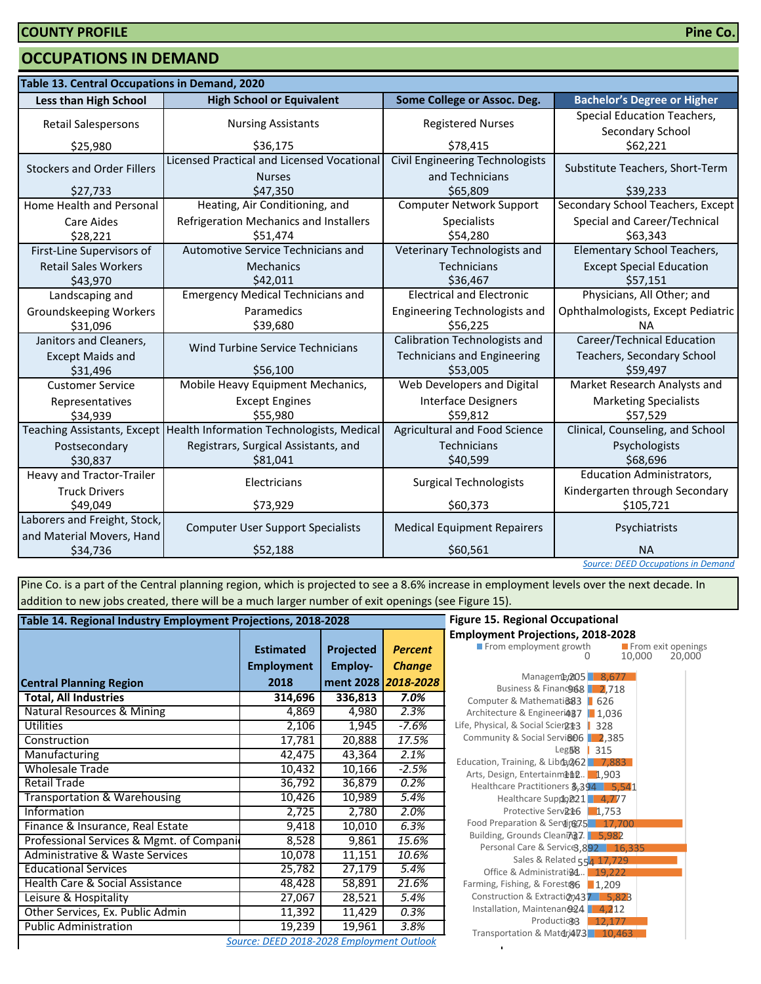### **OCCUPATIONS IN DEMAND**

| Table 13. Central Occupations in Demand, 2020             |                                                             |                                                           |                                                        |  |  |
|-----------------------------------------------------------|-------------------------------------------------------------|-----------------------------------------------------------|--------------------------------------------------------|--|--|
| <b>Less than High School</b>                              | <b>High School or Equivalent</b>                            | Some College or Assoc. Deg.                               | <b>Bachelor's Degree or Higher</b>                     |  |  |
| <b>Retail Salespersons</b>                                | <b>Nursing Assistants</b>                                   | <b>Registered Nurses</b>                                  | Special Education Teachers,<br>Secondary School        |  |  |
| \$25,980                                                  | \$36,175                                                    | \$78,415                                                  | \$62,221                                               |  |  |
| <b>Stockers and Order Fillers</b>                         | Licensed Practical and Licensed Vocational<br><b>Nurses</b> | <b>Civil Engineering Technologists</b><br>and Technicians | Substitute Teachers, Short-Term                        |  |  |
| \$27,733                                                  | \$47,350                                                    | \$65,809                                                  | \$39.233                                               |  |  |
| Home Health and Personal                                  | Heating, Air Conditioning, and                              | <b>Computer Network Support</b>                           | Secondary School Teachers, Except                      |  |  |
| <b>Care Aides</b><br>\$28.221                             | Refrigeration Mechanics and Installers<br>\$51,474          | Specialists<br>\$54.280                                   | Special and Career/Technical<br>\$63.343               |  |  |
| First-Line Supervisors of                                 | Automotive Service Technicians and                          | Veterinary Technologists and                              | <b>Elementary School Teachers,</b>                     |  |  |
| <b>Retail Sales Workers</b><br>\$43,970                   | <b>Mechanics</b><br>\$42,011                                | <b>Technicians</b><br>\$36,467                            | <b>Except Special Education</b><br>\$57,151            |  |  |
| Landscaping and                                           | <b>Emergency Medical Technicians and</b>                    | <b>Electrical and Electronic</b>                          | Physicians, All Other; and                             |  |  |
| Groundskeeping Workers<br>\$31,096                        | Paramedics<br>\$39,680                                      | Engineering Technologists and<br>\$56.225                 | Ophthalmologists, Except Pediatric<br><b>NA</b>        |  |  |
| Janitors and Cleaners.                                    |                                                             | Calibration Technologists and                             | <b>Career/Technical Education</b>                      |  |  |
| <b>Except Maids and</b><br>\$31,496                       | Wind Turbine Service Technicians<br>\$56,100                | <b>Technicians and Engineering</b><br>\$53,005            | Teachers, Secondary School<br>\$59,497                 |  |  |
| <b>Customer Service</b>                                   | Mobile Heavy Equipment Mechanics,                           | <b>Web Developers and Digital</b>                         | Market Research Analysts and                           |  |  |
| Representatives<br>\$34,939                               | <b>Except Engines</b><br>\$55,980                           | <b>Interface Designers</b><br>\$59,812                    | <b>Marketing Specialists</b><br>\$57,529               |  |  |
| <b>Teaching Assistants, Except</b>                        | Health Information Technologists, Medical                   | <b>Agricultural and Food Science</b>                      | Clinical, Counseling, and School                       |  |  |
| Postsecondary<br>\$30,837                                 | Registrars, Surgical Assistants, and<br>\$81,041            | Technicians<br>\$40,599                                   | Psychologists<br>\$68,696                              |  |  |
| Heavy and Tractor-Trailer                                 | Electricians                                                | <b>Surgical Technologists</b>                             | Education Administrators,                              |  |  |
| <b>Truck Drivers</b><br>\$49,049                          | \$73,929                                                    | \$60,373                                                  | Kindergarten through Secondary<br>\$105,721            |  |  |
| Laborers and Freight, Stock,<br>and Material Movers, Hand | <b>Computer User Support Specialists</b>                    | <b>Medical Equipment Repairers</b>                        | Psychiatrists                                          |  |  |
| \$34,736                                                  | \$52,188                                                    | \$60,561                                                  | <b>NA</b><br><b>Source: DEED Occupations in Demand</b> |  |  |

Pine Co. is a part of the Central planning region, which is projected to see a 8.6% increase in employment levels over the next decade. In addition to new jobs created, there will be a much larger number of exit openings (see Figure 15).

| Table 14. Regional Industry Employment Projections, 2018-2028 | <b>Figure 15. Regional Occupational</b>   |           |                     |                                                                        |
|---------------------------------------------------------------|-------------------------------------------|-----------|---------------------|------------------------------------------------------------------------|
|                                                               |                                           |           |                     | <b>Employment Projections, 2018-20</b>                                 |
|                                                               | <b>Estimated</b>                          | Projected | <b>Percent</b>      | From employment growth                                                 |
|                                                               | <b>Employment</b>                         | Employ-   | <b>Change</b>       |                                                                        |
| <b>Central Planning Region</b>                                | 2018                                      |           | ment 2028 2018-2028 | Manageme, 205 8,67<br>Business & Financo 68 2,71                       |
| <b>Total, All Industries</b>                                  | 314,696                                   | 336,813   | 7.0%                | Computer & Mathemati@83   626                                          |
| Natural Resources & Mining                                    | 4,869                                     | 4,980     | 2.3%                | Architecture & Engineeri487   1,036                                    |
| Utilities                                                     | 2,106                                     | 1,945     | $-7.6%$             | Life, Physical, & Social Scien213   328                                |
| Construction                                                  | 17,781                                    | 20,888    | 17.5%               | Community & Social Servi&06 2,38!                                      |
| Manufacturing                                                 | 42,475                                    | 43,364    | 2.1%                | Leg58<br>315<br>Education, Training, & Libra, 262 7,88                 |
| <b>Wholesale Trade</b>                                        | 10,432                                    | 10,166    | $-2.5%$             | Arts, Design, Entertainment. 1,903                                     |
| Retail Trade                                                  | 36,792                                    | 36,879    | 0.2%                | Healthcare Practitioners 8,394 5,                                      |
| Transportation & Warehousing                                  | 10,426                                    | 10,989    | 5.4%                | Healthcare Suppo221 4,77                                               |
| Information                                                   | 2,725                                     | 2,780     | 2.0%                | Protective Serv <sub>R<sup>2</sup>6</sub> 1,753                        |
| Finance & Insurance, Real Estate                              | 9,418                                     | 10,010    | 6.3%                | Food Preparation & Serving 7.5 17.                                     |
| Professional Services & Mgmt. of Compani                      | 8,528                                     | 9,861     | 15.6%               | Building, Grounds Cleaning7. 5,982<br>Personal Care & Service3,892   1 |
| Administrative & Waste Services                               | 10,078                                    | 11,151    | 10.6%               | Sales & Related 554 17,72                                              |
| <b>Educational Services</b>                                   | 25,782                                    | 27,179    | 5.4%                | Office & Administrati@4 19,22                                          |
| Health Care & Social Assistance                               | 48,428                                    | 58,891    | 21.6%               | Farming, Fishing, & Forest&6 1,209                                     |
| Leisure & Hospitality                                         | 27,067                                    | 28,521    | 5.4%                | Construction & Extraction 437 5,8                                      |
| Other Services, Ex. Public Admin                              | 11,392                                    | 11,429    | 0.3%                | Installation, Maintenan@24   4,21                                      |
| <b>Public Administration</b>                                  | 19,239                                    | 19,961    | 3.8%                | Production3  <br>12,17<br>Transportation & Matdri473 10,4              |
|                                                               | Source: DEED 2018-2028 Employment Outlook |           |                     |                                                                        |